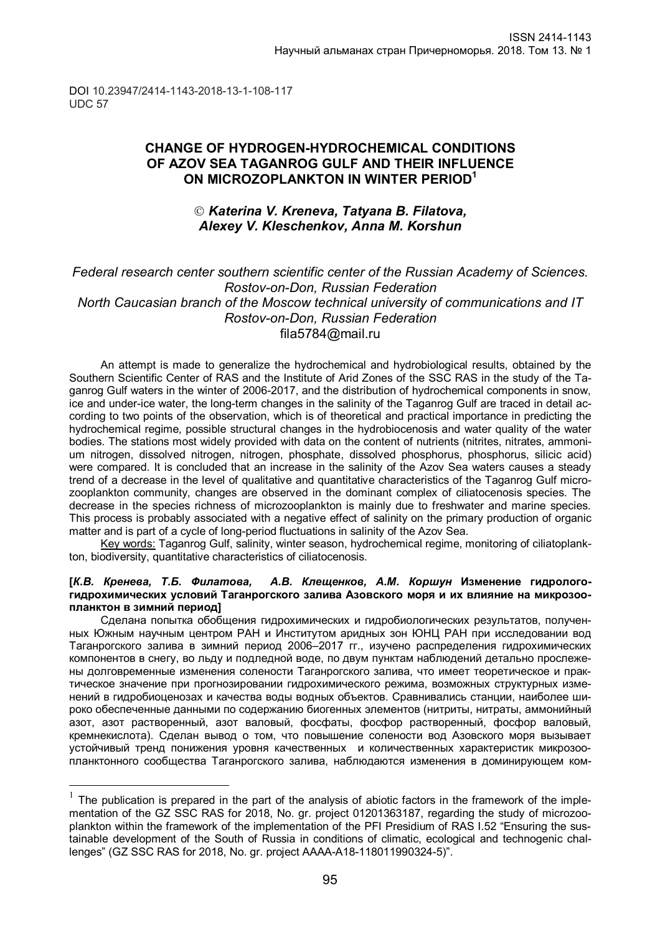DOI 10.23947/2414-1143-2018-13-1-108-117 UDC 57

 $\overline{a}$ 

# **CHANGE OF HYDROGEN-HYDROCHEMICAL CONDITIONS OF AZOV SEA TAGANROG GULF AND THEIR INFLUENCE ON MICROZOPLANKTON IN WINTER PERIOD<sup>1</sup>**

# *Katerina V. Kreneva, Tatyana B. Filatova, Alexey V. Kleschenkov, Anna M. Korshun*

## *Federal research center southern scientific center of the Russian Academy of Sciences. Rostov-on-Don, Russian Federation North Caucasian branch of the Moscow technical university of communications and IT Rostov-on-Don, Russian Federation* fila5784@mail.ru

An attempt is made to generalize the hydrochemical and hydrobiological results, obtained by the Southern Scientific Center of RAS and the Institute of Arid Zones of the SSC RAS in the study of the Taganrog Gulf waters in the winter of 2006-2017, and the distribution of hydrochemical components in snow, ice and under-ice water, the long-term changes in the salinity of the Taganrog Gulf are traced in detail according to two points of the observation, which is of theoretical and practical importance in predicting the hydrochemical regime, possible structural changes in the hydrobiocenosis and water quality of the water bodies. The stations most widely provided with data on the content of nutrients (nitrites, nitrates, ammonium nitrogen, dissolved nitrogen, nitrogen, phosphate, dissolved phosphorus, phosphorus, silicic acid) were compared. It is concluded that an increase in the salinity of the Azov Sea waters causes a steady trend of a decrease in the level of qualitative and quantitative characteristics of the Taganrog Gulf microzooplankton community, changes are observed in the dominant complex of ciliatocenosis species. The decrease in the species richness of microzooplankton is mainly due to freshwater and marine species. This process is probably associated with a negative effect of salinity on the primary production of organic matter and is part of a cycle of long-period fluctuations in salinity of the Azov Sea.

Key words: Taganrog Gulf, salinity, winter season, hydrochemical regime, monitoring of ciliatoplankton, biodiversity, quantitative characteristics of ciliatocenosis.

#### **[***К.В. Кренева, Т.Б. Филатова, А.В. Клещенков, А.М. Коршун* **Изменение гидрологогидрохимических условий Таганрогского залива Азовского моря и их влияние на микрозоопланктон в зимний период]**

Сделана попытка обобщения гидрохимических и гидробиологических результатов, полученных Южным научным центром РАН и Институтом аридных зон ЮНЦ РАН при исследовании вод Таганрогского залива в зимний период 2006–2017 гг., изучено распределения гидрохимических компонентов в снегу, во льду и подледной воде, по двум пунктам наблюдений детально прослежены долговременные изменения солености Таганрогского залива, что имеет теоретическое и практическое значение при прогнозировании гидрохимического режима, возможных структурных изменений в гидробиоценозах и качества воды водных объектов. Сравнивались станции, наиболее широко обеспеченные данными по содержанию биогенных элементов (нитриты, нитраты, аммонийный азот, азот растворенный, азот валовый, фосфаты, фосфор растворенный, фосфор валовый, кремнекислота). Сделан вывод о том, что повышение солености вод Азовского моря вызывает устойчивый тренд понижения уровня качественных и количественных характеристик микрозоопланктонного сообщества Таганрогского залива, наблюдаются изменения в доминирующем ком-

<sup>1</sup> The publication is prepared in the part of the analysis of abiotic factors in the framework of the implementation of the GZ SSC RAS for 2018, No. gr. project 01201363187, regarding the study of microzooplankton within the framework of the implementation of the PFI Presidium of RAS I.52 "Ensuring the sustainable development of the South of Russia in conditions of climatic, ecological and technogenic challenges" (GZ SSC RAS for 2018, No. gr. project АААА-А18-118011990324-5)".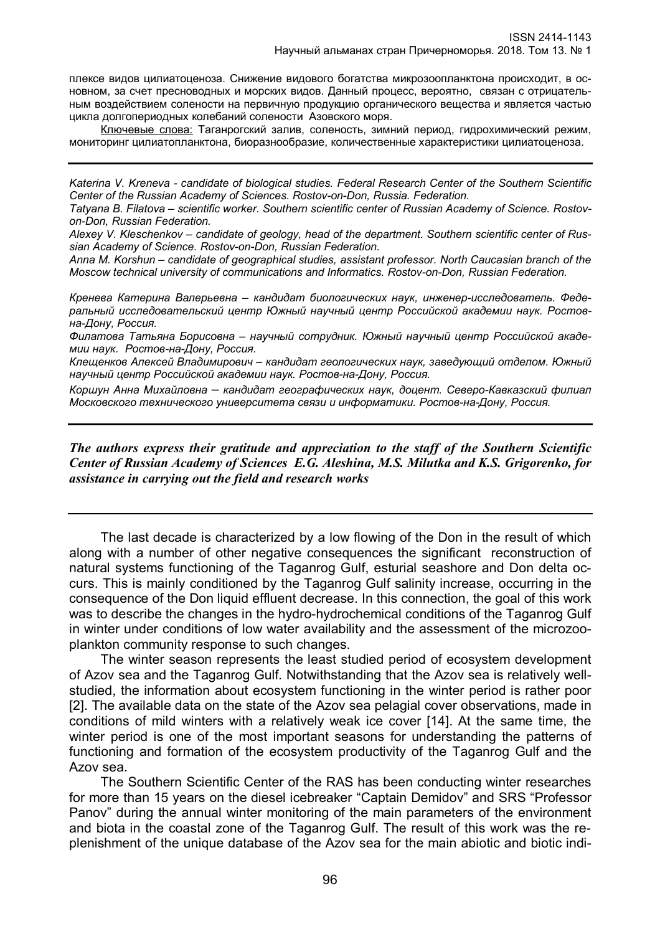плексе видов цилиатоценоза. Снижение видового богатства микрозоопланктона происходит, в основном, за счет пресноводных и морских видов. Данный процесс, вероятно, связан с отрицательным воздействием солености на первичную продукцию органического вещества и является частью цикла долгопериодных колебаний солености Азовского моря.

Ключевые слова: Таганрогский залив, соленость, зимний период, гидрохимический режим, мониторинг цилиатопланктона, биоразнообразие, количественные характеристики цилиатоценоза.

*Katerina V. Kreneva - candidate of biological studies. Federal Research Center of the Southern Scientific Center of the Russian Academy of Sciences. Rostov-on-Don, Russia. Federation.*

*Tatyana B. Filatova – scientific worker. Southern scientific center of Russian Academy of Science. Rostovon-Don, Russian Federation.* 

*Alexey V. Kleschenkov – candidate of geology, head of the department. Southern scientific center of Russian Academy of Science. Rostov-on-Don, Russian Federation.*

*Anna M. Korshun – candidate of geographical studies, assistant professor. North Caucasian branch of the Moscow technical university of communications and Informatics. Rostov-on-Don, Russian Federation.*

*Кренева Катерина Валерьевна – кандидат биологических наук, инженер-исследователь. Федеральный исследовательский центр Южный научный центр Российской академии наук. Ростовна-Дону, Россия.*

*Филатова Татьяна Борисовна – научный сотрудник. Южный научный центр Российской академии наук. Ростов-на-Дону, Россия.*

*Клещенков Алексей Владимирович – кандидат геологических наук, заведующий отделом. Южный научный центр Российской академии наук. Ростов-на-Дону, Россия.*

*Коршун Анна Михайловна* – *кандидат географических наук, доцент. Северо-Кавказский филиал Московского технического университета связи и информатики. Ростов-на-Дону, Россия.*

*The authors express their gratitude and appreciation to the staff of the Southern Scientific Center of Russian Academy of Sciences E.G. Aleshina, M.S. Milutka and K.S. Grigorenko, for assistance in carrying out the field and research works*

The last decade is characterized by a low flowing of the Don in the result of which along with a number of other negative consequences the significant reconstruction of natural systems functioning of the Taganrog Gulf, esturial seashore and Don delta occurs. This is mainly conditioned by the Taganrog Gulf salinity increase, occurring in the consequence of the Don liquid effluent decrease. In this connection, the goal of this work was to describe the changes in the hydro-hydrochemical conditions of the Taganrog Gulf in winter under conditions of low water availability and the assessment of the microzooplankton community response to such changes.

The winter season represents the least studied period of ecosystem development of Azov sea and the Taganrog Gulf. Notwithstanding that the Azov sea is relatively wellstudied, the information about ecosystem functioning in the winter period is rather poor [2]. The available data on the state of the Azov sea pelagial cover observations, made in conditions of mild winters with a relatively weak ice cover [14]. At the same time, the winter period is one of the most important seasons for understanding the patterns of functioning and formation of the ecosystem productivity of the Taganrog Gulf and the Azov sea.

The Southern Scientific Center of the RAS has been conducting winter researches for more than 15 years on the diesel icebreaker "Captain Demidov" and SRS "Professor Panov" during the annual winter monitoring of the main parameters of the environment and biota in the coastal zone of the Taganrog Gulf. The result of this work was the replenishment of the unique database of the Azov sea for the main abiotic and biotic indi-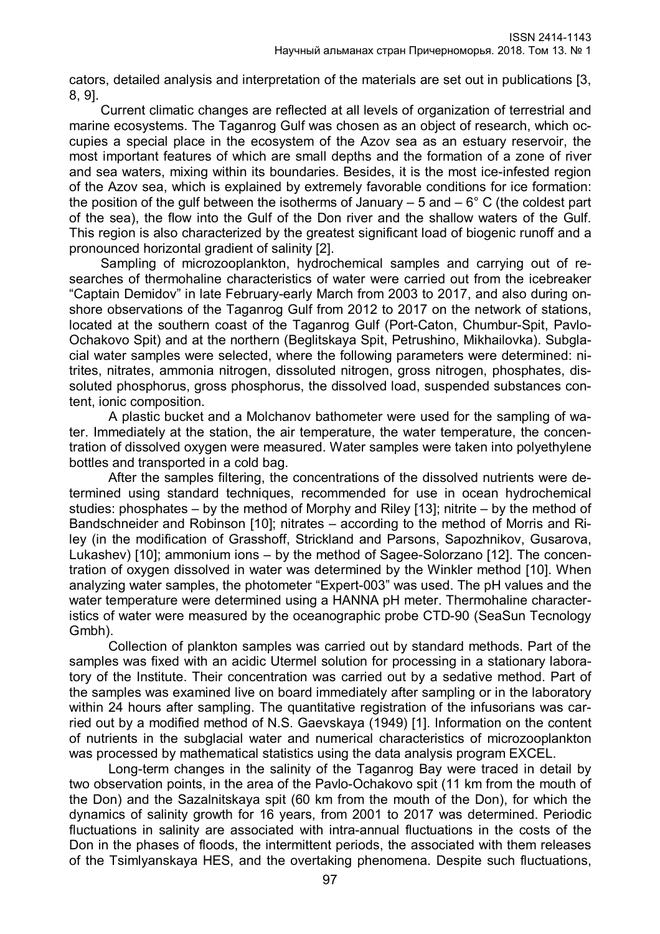cators, detailed analysis and interpretation of the materials are set out in publications [3, 8, 9].

Current climatic changes are reflected at all levels of organization of terrestrial and marine ecosystems. The Taganrog Gulf was chosen as an object of research, which occupies a special place in the ecosystem of the Azov sea as an estuary reservoir, the most important features of which are small depths and the formation of a zone of river and sea waters, mixing within its boundaries. Besides, it is the most ice-infested region of the Azov sea, which is explained by extremely favorable conditions for ice formation: the position of the gulf between the isotherms of January  $-5$  and  $-6^{\circ}$  C (the coldest part of the sea), the flow into the Gulf of the Don river and the shallow waters of the Gulf. This region is also characterized by the greatest significant load of biogenic runoff and a pronounced horizontal gradient of salinity [2].

Sampling of microzooplankton, hydrochemical samples and carrying out of researches of thermohaline characteristics of water were carried out from the icebreaker "Captain Demidov" in late February-early March from 2003 to 2017, and also during onshore observations of the Taganrog Gulf from 2012 to 2017 on the network of stations, located at the southern coast of the Taganrog Gulf (Port-Caton, Chumbur-Spit, Pavlo-Ochakovo Spit) and at the northern (Beglitskaya Spit, Petrushino, Mikhailovka). Subglacial water samples were selected, where the following parameters were determined: nitrites, nitrates, ammonia nitrogen, dissoluted nitrogen, gross nitrogen, phosphates, dissoluted phosphorus, gross phosphorus, the dissolved load, suspended substances content, ionic composition.

A plastic bucket and a Molchanov bathometer were used for the sampling of water. Immediately at the station, the air temperature, the water temperature, the concentration of dissolved oxygen were measured. Water samples were taken into polyethylene bottles and transported in a cold bag.

After the samples filtering, the concentrations of the dissolved nutrients were determined using standard techniques, recommended for use in ocean hydrochemical studies: phosphates – by the method of Morphy and Riley [13]; nitrite – by the method of Bandschneider and Robinson [10]; nitrates – according to the method of Morris and Riley (in the modification of Grasshoff, Strickland and Parsons, Sapozhnikov, Gusarova, Lukashev) [10]; ammonium ions – by the method of Sagee-Solorzano [12]. The concentration of oxygen dissolved in water was determined by the Winkler method [10]. When analyzing water samples, the photometer "Expert-003" was used. The pH values and the water temperature were determined using a HANNA pH meter. Thermohaline characteristics of water were measured by the oceanographic probe CTD-90 (SeaSun Tecnology Gmbh).

Collection of plankton samples was carried out by standard methods. Part of the samples was fixed with an acidic Utermel solution for processing in a stationary laboratory of the Institute. Their concentration was carried out by a sedative method. Part of the samples was examined live on board immediately after sampling or in the laboratory within 24 hours after sampling. The quantitative registration of the infusorians was carried out by a modified method of N.S. Gaevskaya (1949) [1]. Information on the content of nutrients in the subglacial water and numerical characteristics of microzooplankton was processed by mathematical statistics using the data analysis program EXCEL.

Long-term changes in the salinity of the Taganrog Bay were traced in detail by two observation points, in the area of the Pavlo-Ochakovo spit (11 km from the mouth of the Don) and the Sazalnitskaya spit (60 km from the mouth of the Don), for which the dynamics of salinity growth for 16 years, from 2001 to 2017 was determined. Periodic fluctuations in salinity are associated with intra-annual fluctuations in the costs of the Don in the phases of floods, the intermittent periods, the associated with them releases of the Tsimlyanskaya HES, and the overtaking phenomena. Despite such fluctuations,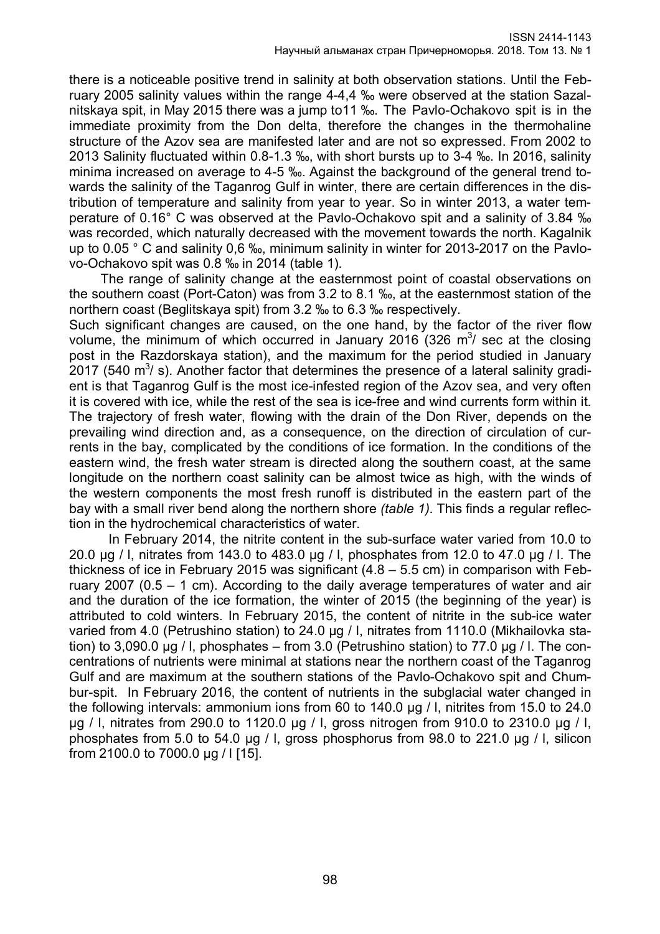there is a noticeable positive trend in salinity at both observation stations. Until the February 2005 salinity values within the range 4-4,4 ‰ were observed at the station Sazalnitskaya spit, in May 2015 there was a jump to11 ‰. The Pavlo-Ochakovo spit is in the immediate proximity from the Don delta, therefore the changes in the thermohaline structure of the Azov sea are manifested later and are not so expressed. From 2002 to 2013 Salinity fluctuated within 0.8-1.3 ‰, with short bursts up to 3-4 ‰. In 2016, salinity minima increased on average to 4-5 ‰. Against the background of the general trend towards the salinity of the Taganrog Gulf in winter, there are certain differences in the distribution of temperature and salinity from year to year. So in winter 2013, a water temperature of 0.16° C was observed at the Pavlo-Ochakovo spit and a salinity of 3.84 ‰ was recorded, which naturally decreased with the movement towards the north. Kagalnik up to 0.05 ° С and salinity 0,6 ‰, minimum salinity in winter for 2013-2017 on the Pavlovo-Ochakovo spit was 0.8 ‰ in 2014 (table 1).

The range of salinity change at the easternmost point of coastal observations on the southern coast (Port-Caton) was from 3.2 to 8.1 ‰, at the easternmost station of the northern coast (Beglitskaya spit) from 3.2 ‰ to 6.3 ‰ respectively.

Such significant changes are caused, on the one hand, by the factor of the river flow volume, the minimum of which occurred in January 2016 (326  $\mathrm{m}^3$ / sec at the closing post in the Razdorskaya station), and the maximum for the period studied in January 2017 (540 m<sup>3</sup>/ s). Another factor that determines the presence of a lateral salinity gradient is that Taganrog Gulf is the most ice-infested region of the Azov sea, and very often it is covered with ice, while the rest of the sea is ice-free and wind currents form within it. The trajectory of fresh water, flowing with the drain of the Don River, depends on the prevailing wind direction and, as a consequence, on the direction of circulation of currents in the bay, complicated by the conditions of ice formation. In the conditions of the eastern wind, the fresh water stream is directed along the southern coast, at the same longitude on the northern coast salinity can be almost twice as high, with the winds of the western components the most fresh runoff is distributed in the eastern part of the bay with a small river bend along the northern shore *(table 1)*. This finds a regular reflection in the hydrochemical characteristics of water.

In February 2014, the nitrite content in the sub-surface water varied from 10.0 to 20.0 μg / l, nitrates from 143.0 to 483.0 μg / l, phosphates from 12.0 to 47.0 μg / l. The thickness of ice in February 2015 was significant  $(4.8 - 5.5 \text{ cm})$  in comparison with February 2007 (0.5 – 1 cm). According to the daily average temperatures of water and air and the duration of the ice formation, the winter of 2015 (the beginning of the year) is attributed to cold winters. In February 2015, the content of nitrite in the sub-ice water varied from 4.0 (Petrushino station) to 24.0 μg / l, nitrates from 1110.0 (Mikhailovka station) to 3,090.0 μg / l, phosphates – from 3.0 (Petrushino station) to 77.0 μg / l. The concentrations of nutrients were minimal at stations near the northern coast of the Taganrog Gulf and are maximum at the southern stations of the Pavlo-Ochakovo spit and Chumbur-spit. In February 2016, the content of nutrients in the subglacial water changed in the following intervals: ammonium ions from 60 to 140.0 μg / l, nitrites from 15.0 to 24.0 μg / l, nitrates from 290.0 to 1120.0 μg / l, gross nitrogen from 910.0 to 2310.0 μg / l, phosphates from 5.0 to 54.0 μg / l, gross phosphorus from 98.0 to 221.0 μg / l, silicon from 2100.0 to 7000.0 μg / l [15].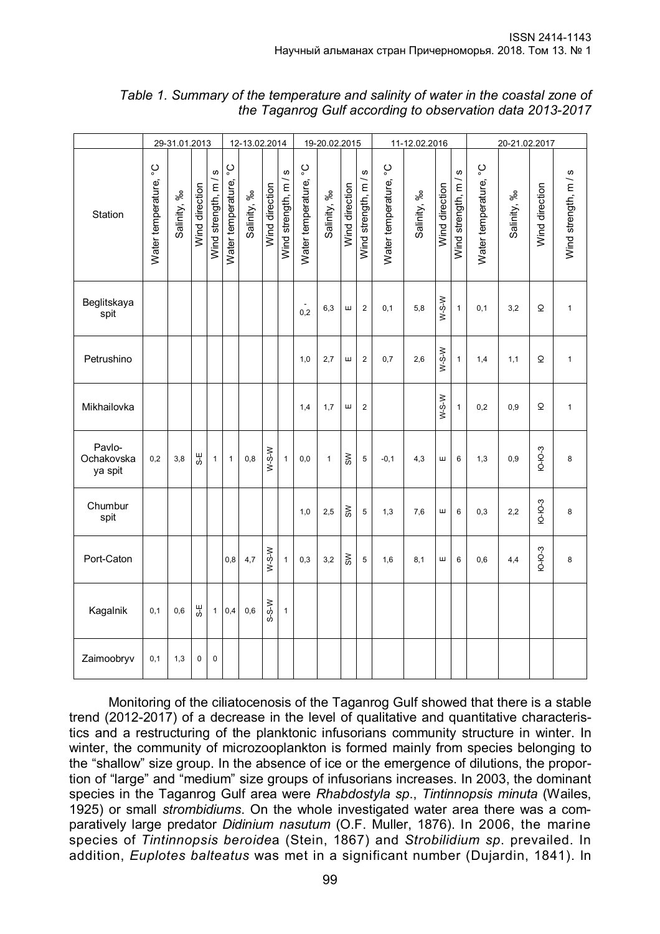|                                 | 29-31.01.2013             |             |                |                       | 12-13.02.2014             |             |                |                                | 19-20.02.2015             |              |                         |                      | 11-12.02.2016             |             |                | 20-21.02.2017           |                           |             |                   |                      |
|---------------------------------|---------------------------|-------------|----------------|-----------------------|---------------------------|-------------|----------------|--------------------------------|---------------------------|--------------|-------------------------|----------------------|---------------------------|-------------|----------------|-------------------------|---------------------------|-------------|-------------------|----------------------|
| Station                         | ပ္ခ<br>Water temperature, | Salinity, % | Wind direction | S<br>Wind strength, m | ပ္စ<br>Water temperature, | Salinity, % | Wind direction | <b>ဟ</b><br>Wind strength, m / | ပ္ခ<br>Water temperature, | Salinity, %  | Wind direction          | Wind strength, m / s | ပ္ခ<br>Water temperature, | Salinity, % | Wind direction | ဖ<br>Wind strength, m / | ပ္ခ<br>Water temperature, | Salinity, % | Wind direction    | Wind strength, m / s |
| Beglitskaya<br>spit             |                           |             |                |                       |                           |             |                |                                | 0,2                       | 6,3          | Ш                       | $\overline{2}$       | 0,1                       | 5,8         | $W-S-W$        | $\mathbf{1}$            | 0,1                       | 3,2         | $\mathbf{\Omega}$ | $\mathbf{1}$         |
| Petrushino                      |                           |             |                |                       |                           |             |                |                                | 1,0                       | 2,7          | Ш                       | $\overline{2}$       | 0,7                       | 2,6         | $W-S-W$        | $\mathbf{1}$            | 1,4                       | 1,1         | Q                 | $\mathbf{1}$         |
| Mikhailovka                     |                           |             |                |                       |                           |             |                |                                | 1,4                       | 1,7          | ш                       | $\overline{2}$       |                           |             | $W-S-W$        | $\mathbf{1}$            | 0,2                       | 0,9         | Q                 | $\mathbf{1}$         |
| Pavlo-<br>Ochakovska<br>ya spit | 0,2                       | 3,8         | S-Ε            | 1                     | 1                         | 0,8         | $W-S-W$        | 1                              | 0,0                       | $\mathbf{1}$ | $\approx$               | $\overline{5}$       | $-0,1$                    | 4,3         | Ш              | 6                       | 1,3                       | 0,9         | <b>P-0-3</b>      | 8                    |
| Chumbur<br>spit                 |                           |             |                |                       |                           |             |                |                                | 1,0                       | 2,5          | $\mathsf{S} \mathsf{M}$ | $\overline{5}$       | 1,3                       | 7,6         | Ш              | 6                       | 0,3                       | 2,2         | <b>IO-IO-3</b>    | 8                    |
| Port-Caton                      |                           |             |                |                       | 0,8                       | 4,7         | $W-S-W$        | $\mathbf{1}$                   | 0,3                       | 3,2          | $\geqslant$             | $\,$ 5 $\,$          | 1,6                       | 8,1         | Ш              | 6                       | 0,6                       | 4,4         | <b>P-P-3</b>      | 8                    |
| Kagalnik                        | 0, 1                      | 0,6         | Ψę             | $\mathbf{1}$          | 0,4                       | 0,6         | S-S-W          | $\mathbf{1}$                   |                           |              |                         |                      |                           |             |                |                         |                           |             |                   |                      |
| Zaimoobryv                      | 0, 1                      | 1,3         | $\mathbf 0$    | $\mathbf 0$           |                           |             |                |                                |                           |              |                         |                      |                           |             |                |                         |                           |             |                   |                      |

*Table 1. Summary of the temperature and salinity of water in the coastal zone of the Taganrog Gulf according to observation data 2013-2017*

Monitoring of the ciliatocenosis of the Taganrog Gulf showed that there is a stable trend (2012-2017) of a decrease in the level of qualitative and quantitative characteristics and a restructuring of the planktonic infusorians community structure in winter. In winter, the community of microzooplankton is formed mainly from species belonging to the "shallow" size group. In the absence of ice or the emergence of dilutions, the proportion of "large" and "medium" size groups of infusorians increases. In 2003, the dominant species in the Taganrog Gulf area were *Rhabdostyla sp*., *Tintinnopsis minuta* (Wailes, 1925) or small *strombidiums*. On the whole investigated water area there was a comparatively large predator *Didinium nasutum* (O.F. Muller, 1876). In 2006, the marine species of *Tintinnopsis beroide*a (Stein, 1867) and *Strobilidium sp*. prevailed. In addition, *Euplotes balteatus* was met in a significant number (Dujardin, 1841). In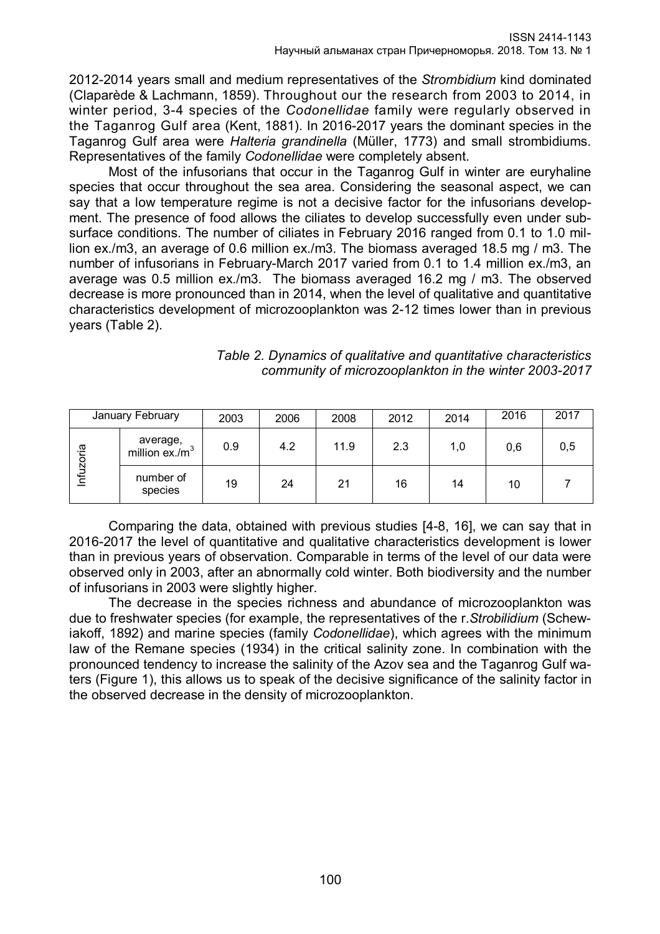2012-2014 years small and medium representatives of the *Strombidium* kind dominated (Claparède & Lachmann, 1859). Throughout our the research from 2003 to 2014, in winter period, 3-4 species of the *Codonellidae* family were regularly observed in the Taganrog Gulf area (Kent, 1881). In 2016-2017 years the dominant species in the Taganrog Gulf area were *Halteria grandinella* (Müller, 1773) and small strombidiums. Representatives of the family *Codonellidae* were completely absent.

Most of the infusorians that occur in the Taganrog Gulf in winter are euryhaline species that occur throughout the sea area. Considering the seasonal aspect, we can say that a low temperature regime is not a decisive factor for the infusorians development. The presence of food allows the ciliates to develop successfully even under subsurface conditions. The number of ciliates in February 2016 ranged from 0.1 to 1.0 million ex./m3, an average of 0.6 million ex./m3. The biomass averaged 18.5 mg / m3. The number of infusorians in February-March 2017 varied from 0.1 to 1.4 million ex./m3, an average was 0.5 million ex./m3. The biomass averaged 16.2 mg / m3. The observed decrease is more pronounced than in 2014, when the level of qualitative and quantitative characteristics development of microzooplankton was 2-12 times lower than in previous years (Table 2).

|           | January February              | 2003 | 2006 | 2008 | 2012 | 2014 | 2016 | 2017 |
|-----------|-------------------------------|------|------|------|------|------|------|------|
| Infuzoria | average,<br>million $ex./m^3$ | 0.9  | 4.2  | 11.9 | 2.3  | 1,0  | 0,6  | 0,5  |
|           | number of<br>species          | 19   | 24   | 21   | 16   | 14   | 10   |      |

# *Table 2. Dynamics of qualitative and quantitative characteristics community of microzooplankton in the winter 2003-2017*

Comparing the data, obtained with previous studies [4-8, 16], we can say that in 2016-2017 the level of quantitative and qualitative characteristics development is lower than in previous years of observation. Comparable in terms of the level of our data were observed only in 2003, after an abnormally cold winter. Both biodiversity and the number of infusorians in 2003 were slightly higher.

The decrease in the species richness and abundance of microzooplankton was due to freshwater species (for example, the representatives of the r.*Strobilidium* (Schewiakoff, 1892) and marine species (family *Codonellidae*), which agrees with the minimum law of the Remane species (1934) in the critical salinity zone. In combination with the pronounced tendency to increase the salinity of the Azov sea and the Taganrog Gulf waters (Figure 1), this allows us to speak of the decisive significance of the salinity factor in the observed decrease in the density of microzooplankton.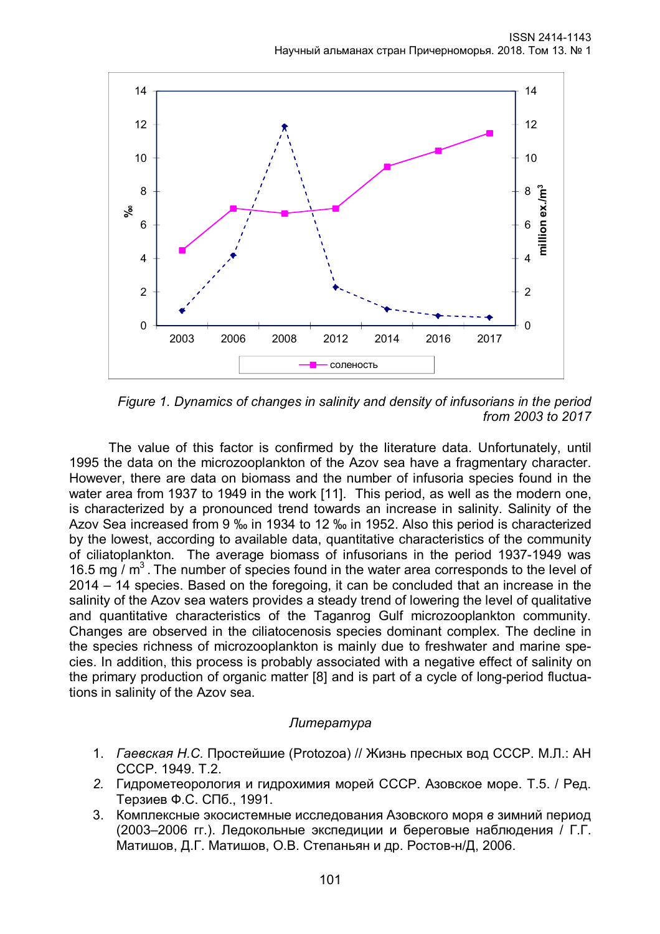

*Figure 1. Dynamics of changes in salinity and density of infusorians in the period from 2003 to 2017*

The value of this factor is confirmed by the literature data. Unfortunately, until 1995 the data on the microzooplankton of the Azov sea have a fragmentary character. However, there are data on biomass and the number of infusoria species found in the water area from 1937 to 1949 in the work [11]. This period, as well as the modern one, is characterized by a pronounced trend towards an increase in salinity. Salinity of the Azov Sea increased from 9 ‰ in 1934 to 12 ‰ in 1952. Also this period is characterized by the lowest, according to available data, quantitative characteristics of the community of ciliatoplankton. The average biomass of infusorians in the period 1937-1949 was 16.5 mg  $/m<sup>3</sup>$ . The number of species found in the water area corresponds to the level of 2014 – 14 species. Based on the foregoing, it can be concluded that an increase in the salinity of the Azov sea waters provides a steady trend of lowering the level of qualitative and quantitative characteristics of the Taganrog Gulf microzooplankton community. Changes are observed in the ciliatocenosis species dominant complex. The decline in the species richness of microzooplankton is mainly due to freshwater and marine species. In addition, this process is probably associated with a negative effect of salinity on the primary production of organic matter [8] and is part of a cycle of long-period fluctuations in salinity of the Azov sea.

# *Литература*

- 1. *Гаевская Н.С.* Простейшие (Protozoa) // Жизнь пресных вод СССР. М.Л.: АН СССР. 1949. Т.2.
- *2.* Гидрометеорология и гидрохимия морей СССР. Азовское море. Т.5. / Ред. Терзиев Ф.С. СПб., 1991.
- 3. Комплексные экосистемные исследования Азовского моря *в* зимний период (2003–2006 гг.). Ледокольные экспедиции и береговые наблюдения / Г.Г. Матишов, Д.Г. Матишов, О.В. Степаньян и др. Ростов-н/Д, 2006.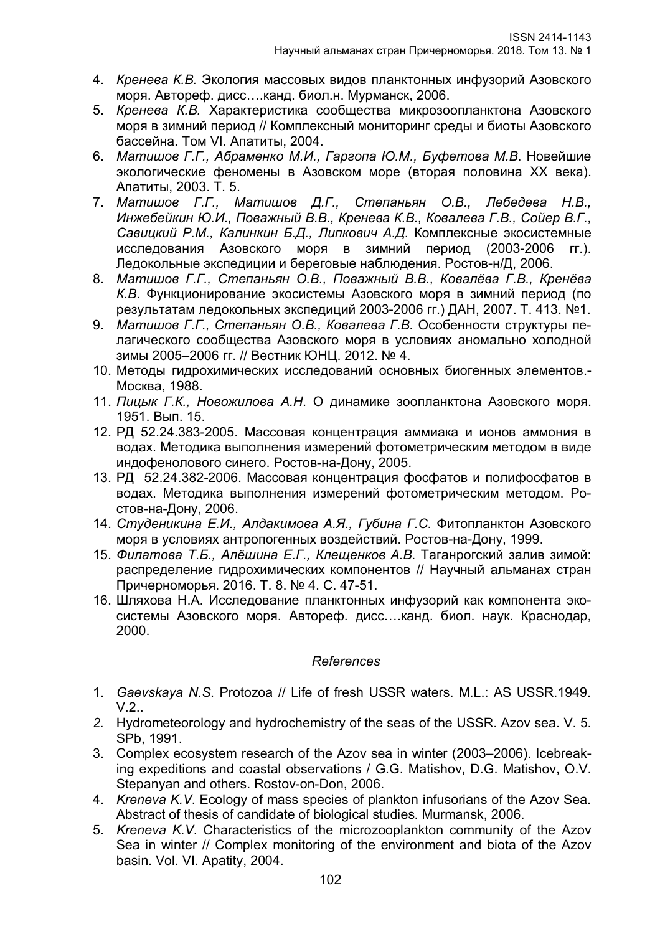- 4. *Кренева К.В.* Экология массовых видов планктонных инфузорий Азовского моря. Автореф. дисс….канд. биол.н. Мурманск, 2006.
- 5. *Кренева К.В.* Характеристика сообщества микрозоопланктона Азовского моря в зимний период // Комплексный мониторинг среды и биоты Азовского бассейна. Том VI. Апатиты, 2004.
- 6. *Матишов Г.Г., Абраменко М.И., Гаргопа Ю.М., Буфетова М.В*. Новейшие экологические феномены в Азовском море (вторая половина XX века). Апатиты, 2003. Т. 5.
- 7. *Матишов Г.Г., Матишов Д.Г., Степаньян О.В., Лебедева Н.В., Инжебейкин Ю.И., Поважный В.В., Кренева К.В., Ковалева Г.В., Сойер В.Г., Савицкий Р.М., Калинкин Б.Д., Липкович А.Д*. Комплексные экосистемные исследования Азовского моря в зимний период (2003-2006 гг.). Ледокольные экспедиции и береговые наблюдения. Ростов-н/Д, 2006.
- 8. *Матишов Г.Г., Степаньян О.В., Поважный В.В., Ковалёва Г.В., Кренёва К.В*. Функционирование экосистемы Азовского моря в зимний период (по результатам ледокольных экспедиций 2003-2006 гг.) ДАН, 2007. Т. 413. №1.
- 9. *Матишов Г.Г., Степаньян О.В., Ковалева Г.В.* Особенности структуры пелагического сообщества Азовского моря в условиях аномально холодной зимы 2005–2006 гг. // Вестник ЮНЦ. 2012. № 4.
- 10. Методы гидрохимических исследований основных биогенных элементов.- Москва, 1988.
- 11. *Пицык Г.К., Новожилова А.Н*. О динамике зоопланктона Азовского моря. 1951. Вып. 15.
- 12. РД 52.24.383-2005. Массовая концентрация аммиака и ионов аммония в водах. Методика выполнения измерений фотометрическим методом в виде индофенолового синего. Ростов-на-Дону, 2005.
- 13. РД 52.24.382-2006. Массовая концентрация фосфатов и полифосфатов в водах. Методика выполнения измерений фотометрическим методом. Ростов-на-Дону, 2006.
- 14. *Студеникина Е.И., Алдакимова А.Я., Губина Г.С*. Фитопланктон Азовского моря в условиях антропогенных воздействий. Ростов-на-Дону, 1999.
- 15. *Филатова Т.Б., Алёшина Е.Г., Клещенков А.В*. Таганрогский залив зимой: распределение гидрохимических компонентов // Научный альманах стран Причерноморья. 2016. Т. 8. № 4. С. 47-51.
- 16. Шляхова Н.А. Исследование планктонных инфузорий как компонента экосистемы Азовского моря. Автореф. дисс….канд. биол. наук. Краснодар, 2000.

# *References*

- 1. *Gaevskaya N.S*. Protozoa // Life of fresh USSR waters. M.L.: AS USSR.1949.  $V.2$ ...
- *2.* Hydrometeorology and hydrochemistry of the seas of the USSR. Azov sea. V. 5. SPb, 1991.
- 3. Complex ecosystem research of the Azov sea in winter (2003–2006). Icebreaking expeditions and coastal observations / G.G. Matishov, D.G. Matishov, O.V. Stepanyan and others. Rostov-on-Don, 2006.
- 4. *Kreneva K.V*. Ecology of mass species of plankton infusorians of the Azov Sea. Abstract of thesis of candidate of biological studies. Murmansk, 2006.
- 5. *Kreneva K.V*. Characteristics of the microzooplankton community of the Azov Sea in winter // Complex monitoring of the environment and biota of the Azov basin. Vol. VI. Apatity, 2004.